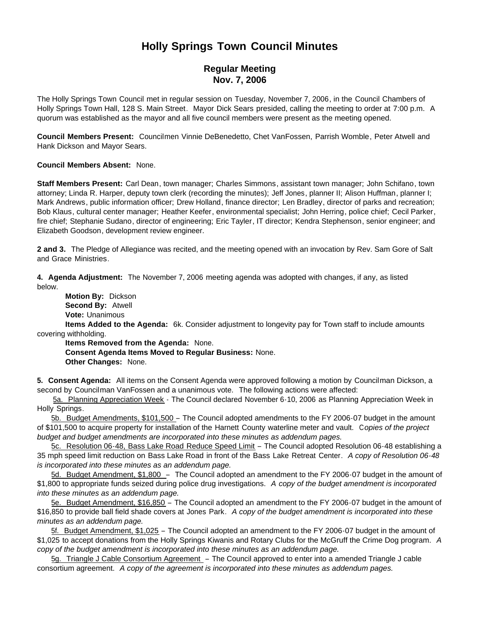# **Holly Springs Town Council Minutes**

# **Regular Meeting Nov. 7, 2006**

The Holly Springs Town Council met in regular session on Tuesday, November 7, 2006, in the Council Chambers of Holly Springs Town Hall, 128 S. Main Street. Mayor Dick Sears presided, calling the meeting to order at 7:00 p.m. A quorum was established as the mayor and all five council members were present as the meeting opened.

**Council Members Present:** Councilmen Vinnie DeBenedetto, Chet VanFossen, Parrish Womble, Peter Atwell and Hank Dickson and Mayor Sears.

#### **Council Members Absent:** None.

**Staff Members Present:** Carl Dean, town manager; Charles Simmons, assistant town manager; John Schifano, town attorney; Linda R. Harper, deputy town clerk (recording the minutes); Jeff Jones, planner II; Alison Huffman, planner I; Mark Andrews, public information officer; Drew Holland, finance director; Len Bradley, director of parks and recreation; Bob Klaus, cultural center manager; Heather Keefer, environmental specialist; John Herring, police chief; Cecil Parker, fire chief; Stephanie Sudano, director of engineering; Eric Tayler, IT director; Kendra Stephenson, senior engineer; and Elizabeth Goodson, development review engineer.

**2 and 3.** The Pledge of Allegiance was recited, and the meeting opened with an invocation by Rev. Sam Gore of Salt and Grace Ministries.

**4. Agenda Adjustment:** The November 7, 2006 meeting agenda was adopted with changes, if any, as listed below.

 **Motion By:** Dickson **Second By:** Atwell **Vote:** Unanimous

 **Items Added to the Agenda:** 6k. Consider adjustment to longevity pay for Town staff to include amounts covering withholding.

 **Items Removed from the Agenda:** None. **Consent Agenda Items Moved to Regular Business:** None. **Other Changes:** None.

**5. Consent Agenda:** All items on the Consent Agenda were approved following a motion by Councilman Dickson, a second by Councilman VanFossen and a unanimous vote. The following actions were affected:

5a. Planning Appreciation Week - The Council declared November 6-10, 2006 as Planning Appreciation Week in Holly Springs.

 5b. Budget Amendments, \$101,500 – The Council adopted amendments to the FY 2006-07 budget in the amount of \$101,500 to acquire property for installation of the Harnett County waterline meter and vault. C*opies of the project budget and budget amendments are incorporated into these minutes as addendum pages.*

 5c. Resolution 06-48, Bass Lake Road Reduce Speed Limit – The Council adopted Resolution 06-48 establishing a 35 mph speed limit reduction on Bass Lake Road in front of the Bass Lake Retreat Center. *A copy of Resolution 06-48 is incorporated into these minutes as an addendum page.*

5d. Budget Amendment, \$1,800 – The Council adopted an amendment to the FY 2006-07 budget in the amount of \$1,800 to appropriate funds seized during police drug investigations. *A copy of the budget amendment is incorporated into these minutes as an addendum page.*

 5e. Budget Amendment, \$16,850 – The Council adopted an amendment to the FY 2006-07 budget in the amount of \$16,850 to provide ball field shade covers at Jones Park. *A copy of the budget amendment is incorporated into these minutes as an addendum page.*

 5f. Budget Amendment, \$1,025 – The Council adopted an amendment to the FY 2006-07 budget in the amount of \$1,025 to accept donations from the Holly Springs Kiwanis and Rotary Clubs for the McGruff the Crime Dog program. *A copy of the budget amendment is incorporated into these minutes as an addendum page.*

 5g. Triangle J Cable Consortium Agreement – The Council approved to enter into a amended Triangle J cable consortium agreement. *A copy of the agreement is incorporated into these minutes as addendum pages.*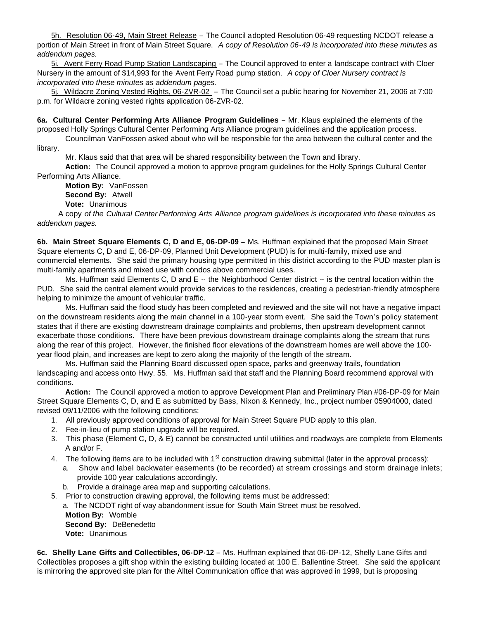5h. Resolution 06-49, Main Street Release – The Council adopted Resolution 06-49 requesting NCDOT release a portion of Main Street in front of Main Street Square. *A copy of Resolution 06-49 is incorporated into these minutes as addendum pages.*

 5i. Avent Ferry Road Pump Station Landscaping – The Council approved to enter a landscape contract with Cloer Nursery in the amount of \$14,993 for the Avent Ferry Road pump station. *A copy of Cloer Nursery contract is incorporated into these minutes as addendum pages.*

 5j. Wildacre Zoning Vested Rights, 06-ZVR-02 – The Council set a public hearing for November 21, 2006 at 7:00 p.m. for Wildacre zoning vested rights application 06-ZVR-02.

**6a. Cultural Center Performing Arts Alliance Program Guidelines** – Mr. Klaus explained the elements of the proposed Holly Springs Cultural Center Performing Arts Alliance program guidelines and the application process. Councilman VanFossen asked about who will be responsible for the area between the cultural center and the

library.

Mr. Klaus said that that area will be shared responsibility between the Town and library.

**Action:** The Council approved a motion to approve program guidelines for the Holly Springs Cultural Center Performing Arts Alliance.

**Motion By:** VanFossen

**Second By:** Atwell

**Vote:** Unanimous

 A copy *of the Cultural Center Performing Arts Alliance program guidelines is incorporated into these minutes as addendum pages.*

**6b. Main Street Square Elements C, D and E, 06-DP-09 –** Ms. Huffman explained that the proposed Main Street Square elements C, D and E, 06-DP-09, Planned Unit Development (PUD) is for multi-family, mixed use and commercial elements. She said the primary housing type permitted in this district according to the PUD master plan is multi-family apartments and mixed use with condos above commercial uses.

Ms. Huffman said Elements C, D and E -- the Neighborhood Center district -- is the central location within the PUD. She said the central element would provide services to the residences, creating a pedestrian-friendly atmosphere helping to minimize the amount of vehicular traffic.

 Ms. Huffman said the flood study has been completed and reviewed and the site will not have a negative impact on the downstream residents along the main channel in a 100-year storm event. She said the Town's policy statement states that if there are existing downstream drainage complaints and problems, then upstream development cannot exacerbate those conditions. There have been previous downstream drainage complaints along the stream that runs along the rear of this project. However, the finished floor elevations of the downstream homes are well above the 100 year flood plain, and increases are kept to zero along the majority of the length of the stream.

Ms. Huffman said the Planning Board discussed open space, parks and greenway trails, foundation landscaping and access onto Hwy. 55. Ms. Huffman said that staff and the Planning Board recommend approval with conditions.

**Action:** The Council approved a motion to approve Development Plan and Preliminary Plan #06-DP-09 for Main Street Square Elements C, D, and E as submitted by Bass, Nixon & Kennedy, Inc., project number 05904000, dated revised 09/11/2006 with the following conditions:

- 1. All previously approved conditions of approval for Main Street Square PUD apply to this plan.
- 2. Fee-in-lieu of pump station upgrade will be required.
- 3. This phase (Element C, D, & E) cannot be constructed until utilities and roadways are complete from Elements A and/or F.
- 4. The following items are to be included with  $1<sup>st</sup>$  construction drawing submittal (later in the approval process):
	- Show and label backwater easements (to be recorded) at stream crossings and storm drainage inlets; provide 100 year calculations accordingly.
	- b. Provide a drainage area map and supporting calculations.
- 5. Prior to construction drawing approval, the following items must be addressed:

 a. The NCDOT right of way abandonment issue for South Main Street must be resolved. **Motion By:** Womble **Second By:** DeBenedetto **Vote:** Unanimous

**6c. Shelly Lane Gifts and Collectibles, 06-DP-12** – Ms. Huffman explained that 06-DP-12, Shelly Lane Gifts and Collectibles proposes a gift shop within the existing building located at 100 E. Ballentine Street. She said the applicant is mirroring the approved site plan for the Alltel Communication office that was approved in 1999, but is proposing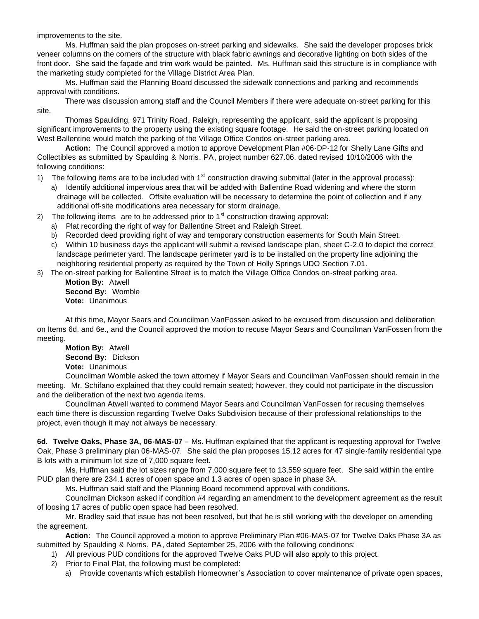improvements to the site.

 Ms. Huffman said the plan proposes on-street parking and sidewalks. She said the developer proposes brick veneer columns on the corners of the structure with black fabric awnings and decorative lighting on both sides of the front door. She said the façade and trim work would be painted. Ms. Huffman said this structure is in compliance with the marketing study completed for the Village District Area Plan.

Ms. Huffman said the Planning Board discussed the sidewalk connections and parking and recommends approval with conditions.

There was discussion among staff and the Council Members if there were adequate on-street parking for this site.

Thomas Spaulding, 971 Trinity Road, Raleigh, representing the applicant, said the applicant is proposing significant improvements to the property using the existing square footage. He said the on-street parking located on West Ballentine would match the parking of the Village Office Condos on-street parking area.

**Action:** The Council approved a motion to approve Development Plan #06-DP-12 for Shelly Lane Gifts and Collectibles as submitted by Spaulding & Norris, PA, project number 627.06, dated revised 10/10/2006 with the following conditions:

1) The following items are to be included with  $1<sup>st</sup>$  construction drawing submittal (later in the approval process):

- a) Identify additional impervious area that will be added with Ballentine Road widening and where the storm drainage will be collected. Offsite evaluation will be necessary to determine the point of collection and if any additional off-site modifications area necessary for storm drainage.
- 2) The following items are to be addressed prior to  $1<sup>st</sup>$  construction drawing approval:
	- a) Plat recording the right of way for Ballentine Street and Raleigh Street.
	- b) Recorded deed providing right of way and temporary construction easements for South Main Street.
	- c) Within 10 business days the applicant will submit a revised landscape plan, sheet C-2.0 to depict the correct landscape perimeter yard. The landscape perimeter yard is to be installed on the property line adjoining the neighboring residential property as required by the Town of Holly Springs UDO Section 7.01.

3) The on-street parking for Ballentine Street is to match the Village Office Condos on-street parking area.

**Motion By:** Atwell **Second By:** Womble **Vote:** Unanimous

At this time, Mayor Sears and Councilman VanFossen asked to be excused from discussion and deliberation on Items 6d. and 6e., and the Council approved the motion to recuse Mayor Sears and Councilman VanFossen from the meeting.

 **Motion By:** Atwell **Second By:** Dickson **Vote:** Unanimous

Councilman Womble asked the town attorney if Mayor Sears and Councilman VanFossen should remain in the meeting. Mr. Schifano explained that they could remain seated; however, they could not participate in the discussion and the deliberation of the next two agenda items.

 Councilman Atwell wanted to commend Mayor Sears and Councilman VanFossen for recusing themselves each time there is discussion regarding Twelve Oaks Subdivision because of their professional relationships to the project, even though it may not always be necessary.

**6d. Twelve Oaks, Phase 3A, 06-MAS-07** – Ms. Huffman explained that the applicant is requesting approval for Twelve Oak, Phase 3 preliminary plan 06-MAS-07. She said the plan proposes 15.12 acres for 47 single-family residential type B lots with a minimum lot size of 7,000 square feet.

 Ms. Huffman said the lot sizes range from 7,000 square feet to 13,559 square feet. She said within the entire PUD plan there are 234.1 acres of open space and 1.3 acres of open space in phase 3A.

Ms. Huffman said staff and the Planning Board recommend approval with conditions.

 Councilman Dickson asked if condition #4 regarding an amendment to the development agreement as the result of loosing 17 acres of public open space had been resolved.

 Mr. Bradley said that issue has not been resolved, but that he is still working with the developer on amending the agreement.

 **Action:** The Council approved a motion to approve Preliminary Plan #06-MAS-07 for Twelve Oaks Phase 3A as submitted by Spaulding & Norris, PA, dated September 25, 2006 with the following conditions:

- 1) All previous PUD conditions for the approved Twelve Oaks PUD will also apply to this project.
- 2) Prior to Final Plat, the following must be completed:
	- a) Provide covenants which establish Homeowner's Association to cover maintenance of private open spaces,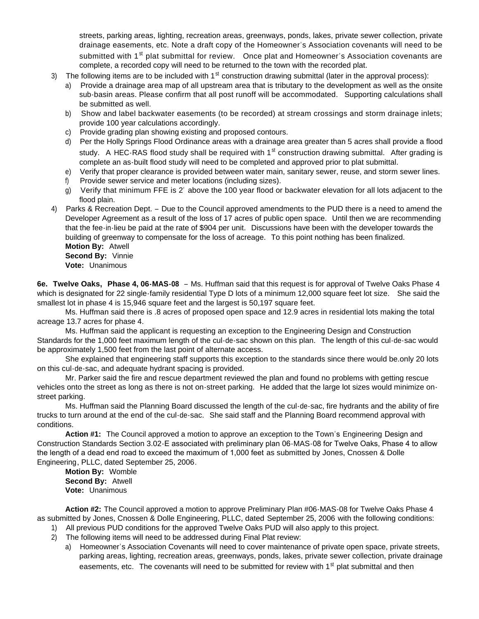streets, parking areas, lighting, recreation areas, greenways, ponds, lakes, private sewer collection, private drainage easements, etc. Note a draft copy of the Homeowner's Association covenants will need to be submitted with 1<sup>st</sup> plat submittal for review. Once plat and Homeowner's Association covenants are complete, a recorded copy will need to be returned to the town with the recorded plat.

- 3) The following items are to be included with  $1<sup>st</sup>$  construction drawing submittal (later in the approval process):
	- a) Provide a drainage area map of all upstream area that is tributary to the development as well as the onsite sub-basin areas. Please confirm that all post runoff will be accommodated. Supporting calculations shall be submitted as well.
	- b) Show and label backwater easements (to be recorded) at stream crossings and storm drainage inlets; provide 100 year calculations accordingly.
	- c) Provide grading plan showing existing and proposed contours.
	- d) Per the Holly Springs Flood Ordinance areas with a drainage area greater than 5 acres shall provide a flood study. A HEC-RAS flood study shall be required with  $1<sup>st</sup>$  construction drawing submittal. After grading is complete an as-built flood study will need to be completed and approved prior to plat submittal.
	- e) Verify that proper clearance is provided between water main, sanitary sewer, reuse, and storm sewer lines.
	- f) Provide sewer service and meter locations (including sizes).
	- g) Verify that minimum FFE is 2' above the 100 year flood or backwater elevation for all lots adjacent to the flood plain.
- 4) Parks & Recreation Dept. Due to the Council approved amendments to the PUD there is a need to amend the Developer Agreement as a result of the loss of 17 acres of public open space. Until then we are recommending that the fee-in-lieu be paid at the rate of \$904 per unit. Discussions have been with the developer towards the building of greenway to compensate for the loss of acreage. To this point nothing has been finalized.

 **Motion By:** Atwell **Second By:** Vinnie **Vote:** Unanimous

**6e. Twelve Oaks, Phase 4, 06-MAS-08** – Ms. Huffman said that this request is for approval of Twelve Oaks Phase 4 which is designated for 22 single-family residential Type D lots of a minimum 12,000 square feet lot size. She said the smallest lot in phase 4 is 15,946 square feet and the largest is 50,197 square feet.

Ms. Huffman said there is .8 acres of proposed open space and 12.9 acres in residential lots making the total acreage 13.7 acres for phase 4.

 Ms. Huffman said the applicant is requesting an exception to the Engineering Design and Construction Standards for the 1,000 feet maximum length of the cul-de-sac shown on this plan. The length of this cul-de-sac would be approximately 1,500 feet from the last point of alternate access.

 She explained that engineering staff supports this exception to the standards since there would be.only 20 lots on this cul-de-sac, and adequate hydrant spacing is provided.

 Mr. Parker said the fire and rescue department reviewed the plan and found no problems with getting rescue vehicles onto the street as long as there is not on-street parking. He added that the large lot sizes would minimize onstreet parking.

Ms. Huffman said the Planning Board discussed the length of the cul-de-sac, fire hydrants and the ability of fire trucks to turn around at the end of the cul-de-sac. She said staff and the Planning Board recommend approval with conditions.

**Action #1:** The Council approved a motion to approve an exception to the Town's Engineering Design and Construction Standards Section 3.02-E associated with preliminary plan 06-MAS-08 for Twelve Oaks, Phase 4 to allow the length of a dead end road to exceed the maximum of 1,000 feet as submitted by Jones, Cnossen & Dolle Engineering, PLLC, dated September 25, 2006.

**Motion By:** Womble **Second By:** Atwell **Vote:** Unanimous

**Action #2:** The Council approved a motion to approve Preliminary Plan #06-MAS-08 for Twelve Oaks Phase 4 as submitted by Jones, Cnossen & Dolle Engineering, PLLC, dated September 25, 2006 with the following conditions:

- 1) All previous PUD conditions for the approved Twelve Oaks PUD will also apply to this project.
- 2) The following items will need to be addressed during Final Plat review:
	- a) Homeowner's Association Covenants will need to cover maintenance of private open space, private streets, parking areas, lighting, recreation areas, greenways, ponds, lakes, private sewer collection, private drainage easements, etc. The covenants will need to be submitted for review with  $1<sup>st</sup>$  plat submittal and then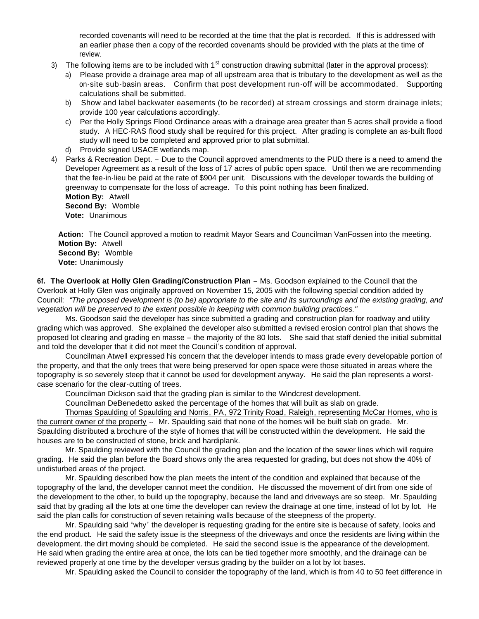recorded covenants will need to be recorded at the time that the plat is recorded. If this is addressed with an earlier phase then a copy of the recorded covenants should be provided with the plats at the time of review.

- 3) The following items are to be included with  $1<sup>st</sup>$  construction drawing submittal (later in the approval process):
	- a) Please provide a drainage area map of all upstream area that is tributary to the development as well as the on-site sub-basin areas. Confirm that post development run-off will be accommodated. Supporting calculations shall be submitted.
	- b) Show and label backwater easements (to be recorded) at stream crossings and storm drainage inlets; provide 100 year calculations accordingly.
	- c) Per the Holly Springs Flood Ordinance areas with a drainage area greater than 5 acres shall provide a flood study. A HEC-RAS flood study shall be required for this project. After grading is complete an as-built flood study will need to be completed and approved prior to plat submittal.
	- d) Provide signed USACE wetlands map.
- 4) Parks & Recreation Dept. Due to the Council approved amendments to the PUD there is a need to amend the Developer Agreement as a result of the loss of 17 acres of public open space. Until then we are recommending that the fee-in-lieu be paid at the rate of \$904 per unit. Discussions with the developer towards the building of greenway to compensate for the loss of acreage. To this point nothing has been finalized. **Motion By:** Atwell

 **Second By:** Womble **Vote:** Unanimous

 **Action:** The Council approved a motion to readmit Mayor Sears and Councilman VanFossen into the meeting.  **Motion By:** Atwell  **Second By:** Womble  **Vote:** Unanimously

6f. The Overlook at Holly Glen Grading/Construction Plan – Ms. Goodson explained to the Council that the Overlook at Holly Glen was originally approved on November 15, 2005 with the following special condition added by Council: *"The proposed development is (to be) appropriate to the site and its surroundings and the existing grading, and vegetation will be preserved to the extent possible in keeping with common building practices."*

 Ms. Goodson said the developer has since submitted a grading and construction plan for roadway and utility grading which was approved. She explained the developer also submitted a revised erosion control plan that shows the proposed lot clearing and grading en masse – the majority of the 80 lots. She said that staff denied the initial submittal and told the developer that it did not meet the Council's condition of approval.

Councilman Atwell expressed his concern that the developer intends to mass grade every developable portion of the property, and that the only trees that were being preserved for open space were those situated in areas where the topography is so severely steep that it cannot be used for development anyway. He said the plan represents a worstcase scenario for the clear-cutting of trees.

Councilman Dickson said that the grading plan is similar to the Windcrest development.

Councilman DeBenedetto asked the percentage of the homes that will built as slab on grade.

Thomas Spaulding of Spaulding and Norris, PA, 972 Trinity Road, Raleigh, representing McCar Homes, who is the current owner of the property -- Mr. Spaulding said that none of the homes will be built slab on grade. Mr. Spaulding distributed a brochure of the style of homes that will be constructed within the development. He said the houses are to be constructed of stone, brick and hardiplank.

Mr. Spaulding reviewed with the Council the grading plan and the location of the sewer lines which will require grading. He said the plan before the Board shows only the area requested for grading, but does not show the 40% of undisturbed areas of the project.

Mr. Spaulding described how the plan meets the intent of the condition and explained that because of the topography of the land, the developer cannot meet the condition. He discussed the movement of dirt from one side of the development to the other, to build up the topography, because the land and driveways are so steep. Mr. Spaulding said that by grading all the lots at one time the developer can review the drainage at one time, instead of lot by lot. He said the plan calls for construction of seven retaining walls because of the steepness of the property.

Mr. Spaulding said "why" the developer is requesting grading for the entire site is because of safety, looks and the end product. He said the safety issue is the steepness of the driveways and once the residents are living within the development. the dirt moving should be completed. He said the second issue is the appearance of the development. He said when grading the entire area at once, the lots can be tied together more smoothly, and the drainage can be reviewed properly at one time by the developer versus grading by the builder on a lot by lot bases.

Mr. Spaulding asked the Council to consider the topography of the land, which is from 40 to 50 feet difference in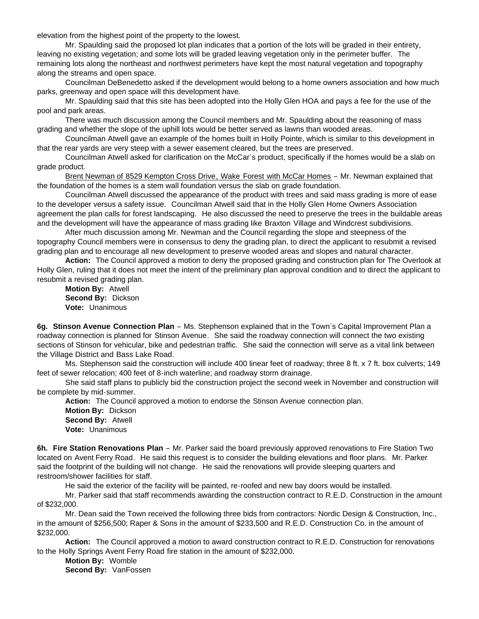elevation from the highest point of the property to the lowest.

Mr. Spaulding said the proposed lot plan indicates that a portion of the lots will be graded in their entirety, leaving no existing vegetation; and some lots will be graded leaving vegetation only in the perimeter buffer. The remaining lots along the northeast and northwest perimeters have kept the most natural vegetation and topography along the streams and open space.

Councilman DeBenedetto asked if the development would belong to a home owners association and how much parks, greenway and open space will this development have.

Mr. Spaulding said that this site has been adopted into the Holly Glen HOA and pays a fee for the use of the pool and park areas.

There was much discussion among the Council members and Mr. Spaulding about the reasoning of mass grading and whether the slope of the uphill lots would be better served as lawns than wooded areas.

Councilman Atwell gave an example of the homes built in Holly Pointe, which is similar to this development in that the rear yards are very steep with a sewer easement cleared, but the trees are preserved.

Councilman Atwell asked for clarification on the McCar's product, specifically if the homes would be a slab on grade product.

Brent Newman of 8529 Kempton Cross Drive, Wake Forest with McCar Homes – Mr. Newman explained that the foundation of the homes is a stem wall foundation versus the slab on grade foundation.

Councilman Atwell discussed the appearance of the product with trees and said mass grading is more of ease to the developer versus a safety issue. Councilman Atwell said that in the Holly Glen Home Owners Association agreement the plan calls for forest landscaping. He also discussed the need to preserve the trees in the buildable areas and the development will have the appearance of mass grading like Braxton Village and Windcrest subdivisions.

 After much discussion among Mr. Newman and the Council regarding the slope and steepness of the topography Council members were in consensus to deny the grading plan, to direct the applicant to resubmit a revised grading plan and to encourage all new development to preserve wooded areas and slopes and natural character.

 **Action:** The Council approved a motion to deny the proposed grading and construction plan for The Overlook at Holly Glen, ruling that it does not meet the intent of the preliminary plan approval condition and to direct the applicant to resubmit a revised grading plan.

 **Motion By:** Atwell **Second By:** Dickson **Vote:** Unanimous

**6g. Stinson Avenue Connection Plan** – Ms. Stephenson explained that in the Town's Capital Improvement Plan a roadway connection is planned for Stinson Avenue. She said the roadway connection will connect the two existing sections of Stinson for vehicular, bike and pedestrian traffic. She said the connection will serve as a vital link between the Village District and Bass Lake Road.

 Ms. Stephenson said the construction will include 400 linear feet of roadway; three 8 ft. x 7 ft. box culverts; 149 feet of sewer relocation; 400 feet of 8-inch waterline; and roadway storm drainage.

 She said staff plans to publicly bid the construction project the second week in November and construction will be complete by mid-summer.

**Action:** The Council approved a motion to endorse the Stinson Avenue connection plan.

 **Motion By:** Dickson **Second By:** Atwell **Vote:** Unanimous

**6h. Fire Station Renovations Plan** – Mr. Parker said the board previously approved renovations to Fire Station Two located on Avent Ferry Road. He said this request is to consider the building elevations and floor plans. Mr. Parker said the footprint of the building will not change. He said the renovations will provide sleeping quarters and restroom/shower facilities for staff.

He said the exterior of the facility will be painted, re-roofed and new bay doors would be installed.

 Mr. Parker said that staff recommends awarding the construction contract to R.E.D. Construction in the amount of \$232,000.

 Mr. Dean said the Town received the following three bids from contractors: Nordic Design & Construction, Inc., in the amount of \$256,500; Raper & Sons in the amount of \$233,500 and R.E.D. Construction Co. in the amount of \$232,000.

**Action:** The Council approved a motion to award construction contract to R.E.D. Construction for renovations to the Holly Springs Avent Ferry Road fire station in the amount of \$232,000.

 **Motion By:** Womble **Second By:** VanFossen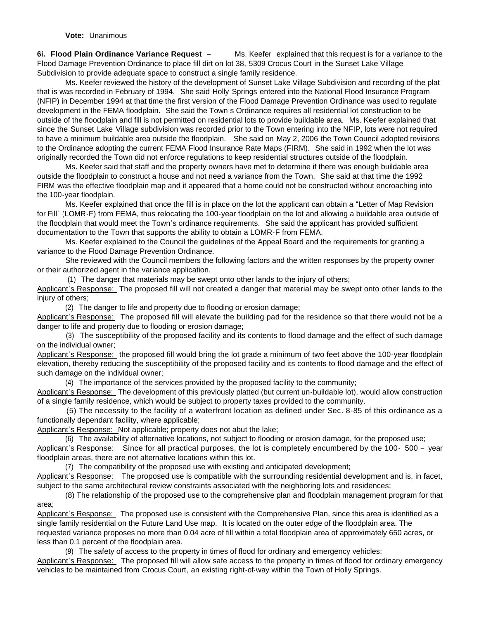**6i. Flood Plain Ordinance Variance Request** – Ms. Keefer explained that this request is for a variance to the Flood Damage Prevention Ordinance to place fill dirt on lot 38, 5309 Crocus Court in the Sunset Lake Village Subdivision to provide adequate space to construct a single family residence.

Ms. Keefer reviewed the history of the development of Sunset Lake Village Subdivision and recording of the plat that is was recorded in February of 1994. She said Holly Springs entered into the National Flood Insurance Program (NFIP) in December 1994 at that time the first version of the Flood Damage Prevention Ordinance was used to regulate development in the FEMA floodplain. She said the Town's Ordinance requires all residential lot construction to be outside of the floodplain and fill is not permitted on residential lots to provide buildable area. Ms. Keefer explained that since the Sunset Lake Village subdivision was recorded prior to the Town entering into the NFIP, lots were not required to have a minimum buildable area outside the floodplain. She said on May 2, 2006 the Town Council adopted revisions to the Ordinance adopting the current FEMA Flood Insurance Rate Maps (FIRM). She said in 1992 when the lot was originally recorded the Town did not enforce regulations to keep residential structures outside of the floodplain.

Ms. Keefer said that staff and the property owners have met to determine if there was enough buildable area outside the floodplain to construct a house and not need a variance from the Town. She said at that time the 1992 FIRM was the effective floodplain map and it appeared that a home could not be constructed without encroaching into the 100-year floodplain.

Ms. Keefer explained that once the fill is in place on the lot the applicant can obtain a "Letter of Map Revision for Fill" (LOMR-F) from FEMA, thus relocating the 100-year floodplain on the lot and allowing a buildable area outside of the floodplain that would meet the Town's ordinance requirements. She said the applicant has provided sufficient documentation to the Town that supports the ability to obtain a LOMR-F from FEMA.

Ms. Keefer explained to the Council the guidelines of the Appeal Board and the requirements for granting a variance to the Flood Damage Prevention Ordinance.

She reviewed with the Council members the following factors and the written responses by the property owner or their authorized agent in the variance application.

(1) The danger that materials may be swept onto other lands to the injury of others;

Applicant's Response: The proposed fill will not created a danger that material may be swept onto other lands to the injury of others;

(2) The danger to life and property due to flooding or erosion damage;

Applicant's Response: The proposed fill will elevate the building pad for the residence so that there would not be a danger to life and property due to flooding or erosion damage;

 (3) The susceptibility of the proposed facility and its contents to flood damage and the effect of such damage on the individual owner;

Applicant's Response: the proposed fill would bring the lot grade a minimum of two feet above the 100-year floodplain elevation, thereby reducing the susceptibility of the proposed facility and its contents to flood damage and the effect of such damage on the individual owner;

(4) The importance of the services provided by the proposed facility to the community;

Applicant's Response: The development of this previously platted (but current un-buildable lot), would allow construction of a single family residence, which would be subject to property taxes provided to the community.

 (5) The necessity to the facility of a waterfront location as defined under Sec. 8-85 of this ordinance as a functionally dependant facility, where applicable;

Applicant's Response: Not applicable; property does not abut the lake;

 (6) The availability of alternative locations, not subject to flooding or erosion damage, for the proposed use; Applicant's Response: Since for all practical purposes, the lot is completely encumbered by the 100- 500 – year floodplain areas, there are not alternative locations within this lot.

(7) The compatibility of the proposed use with existing and anticipated development;

Applicant's Response: The proposed use is compatible with the surrounding residential development and is, in facet, subject to the same architectural review constraints associated with the neighboring lots and residences;

 (8) The relationship of the proposed use to the comprehensive plan and floodplain management program for that area;

Applicant's Response: The proposed use is consistent with the Comprehensive Plan, since this area is identified as a single family residential on the Future Land Use map. It is located on the outer edge of the floodplain area. The requested variance proposes no more than 0.04 acre of fill within a total floodplain area of approximately 650 acres, or less than 0.1 percent of the floodplain area.

(9) The safety of access to the property in times of flood for ordinary and emergency vehicles;

Applicant's Response: The proposed fill will allow safe access to the property in times of flood for ordinary emergency vehicles to be maintained from Crocus Court, an existing right-of-way within the Town of Holly Springs.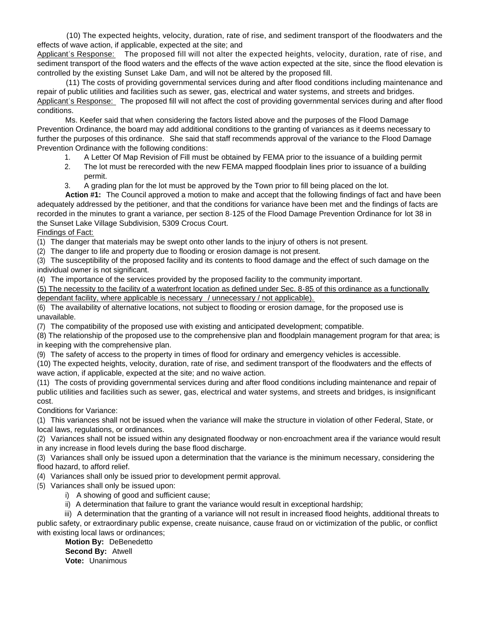(10) The expected heights, velocity, duration, rate of rise, and sediment transport of the floodwaters and the effects of wave action, if applicable, expected at the site; and

Applicant's Response: The proposed fill will not alter the expected heights, velocity, duration, rate of rise, and sediment transport of the flood waters and the effects of the wave action expected at the site, since the flood elevation is controlled by the existing Sunset Lake Dam, and will not be altered by the proposed fill.

 (11) The costs of providing governmental services during and after flood conditions including maintenance and repair of public utilities and facilities such as sewer, gas, electrical and water systems, and streets and bridges. Applicant's Response: The proposed fill will not affect the cost of providing governmental services during and after flood conditions.

 Ms. Keefer said that when considering the factors listed above and the purposes of the Flood Damage Prevention Ordinance, the board may add additional conditions to the granting of variances as it deems necessary to further the purposes of this ordinance. She said that staff recommends approval of the variance to the Flood Damage Prevention Ordinance with the following conditions:

- 1. A Letter Of Map Revision of Fill must be obtained by FEMA prior to the issuance of a building permit
- 2. The lot must be rerecorded with the new FEMA mapped floodplain lines prior to issuance of a building permit.
- 3. A grading plan for the lot must be approved by the Town prior to fill being placed on the lot.

**Action #1:** The Council approved a motion to make and accept that the following findings of fact and have been adequately addressed by the petitioner, and that the conditions for variance have been met and the findings of facts are recorded in the minutes to grant a variance, per section 8-125 of the Flood Damage Prevention Ordinance for lot 38 in the Sunset Lake Village Subdivision, 5309 Crocus Court.

Findings of Fact:

(1) The danger that materials may be swept onto other lands to the injury of others is not present.

(2) The danger to life and property due to flooding or erosion damage is not present.

(3) The susceptibility of the proposed facility and its contents to flood damage and the effect of such damage on the individual owner is not significant.

(4) The importance of the services provided by the proposed facility to the community important.

(5) The necessity to the facility of a waterfront location as defined under Sec. 8-85 of this ordinance as a functionally dependant facility, where applicable is necessary / unnecessary / not applicable).

(6) The availability of alternative locations, not subject to flooding or erosion damage, for the proposed use is unavailable.

(7) The compatibility of the proposed use with existing and anticipated development; compatible.

(8) The relationship of the proposed use to the comprehensive plan and floodplain management program for that area; is in keeping with the comprehensive plan.

(9) The safety of access to the property in times of flood for ordinary and emergency vehicles is accessible.

(10) The expected heights, velocity, duration, rate of rise, and sediment transport of the floodwaters and the effects of wave action, if applicable, expected at the site; and no waive action.

(11) The costs of providing governmental services during and after flood conditions including maintenance and repair of public utilities and facilities such as sewer, gas, electrical and water systems, and streets and bridges, is insignificant cost.

Conditions for Variance:

(1) This variances shall not be issued when the variance will make the structure in violation of other Federal, State, or local laws, regulations, or ordinances.

(2) Variances shall not be issued within any designated floodway or non-encroachment area if the variance would result in any increase in flood levels during the base flood discharge.

(3) Variances shall only be issued upon a determination that the variance is the minimum necessary, considering the flood hazard, to afford relief.

(4) Variances shall only be issued prior to development permit approval.

(5) Variances shall only be issued upon:

i) A showing of good and sufficient cause;

- ii) A determination that failure to grant the variance would result in exceptional hardship;
- iii) A determination that the granting of a variance will not result in increased flood heights, additional threats to

public safety, or extraordinary public expense, create nuisance, cause fraud on or victimization of the public, or conflict with existing local laws or ordinances;

 **Motion By:** DeBenedetto **Second By:** Atwell **Vote:** Unanimous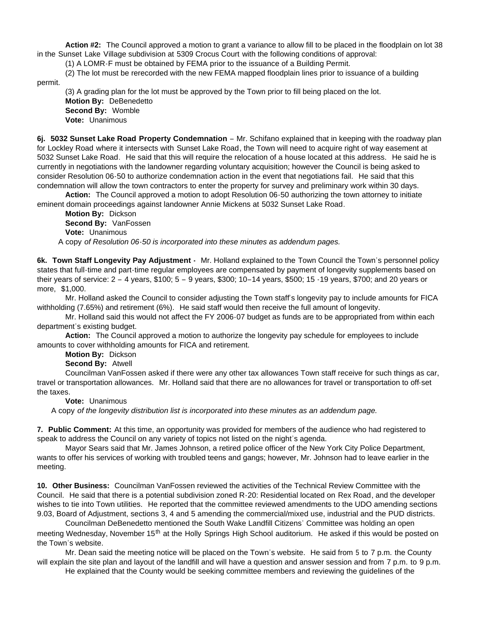**Action #2:** The Council approved a motion to grant a variance to allow fill to be placed in the floodplain on lot 38 in the Sunset Lake Village subdivision at 5309 Crocus Court with the following conditions of approval:

(1) A LOMR-F must be obtained by FEMA prior to the issuance of a Building Permit.

(2) The lot must be rerecorded with the new FEMA mapped floodplain lines prior to issuance of a building

permit.

(3) A grading plan for the lot must be approved by the Town prior to fill being placed on the lot. **Motion By:** DeBenedetto

 **Second By:** Womble **Vote:** Unanimous

**6j. 5032 Sunset Lake Road Property Condemnation** – Mr. Schifano explained that in keeping with the roadway plan for Lockley Road where it intersects with Sunset Lake Road, the Town will need to acquire right of way easement at 5032 Sunset Lake Road. He said that this will require the relocation of a house located at this address. He said he is currently in negotiations with the landowner regarding voluntary acquisition; however the Council is being asked to consider Resolution 06-50 to authorize condemnation action in the event that negotiations fail. He said that this condemnation will allow the town contractors to enter the property for survey and preliminary work within 30 days.

**Action:** The Council approved a motion to adopt Resolution 06-50 authorizing the town attorney to initiate eminent domain proceedings against landowner Annie Mickens at 5032 Sunset Lake Road.

 **Motion By:** Dickson **Second By:** VanFossen **Vote:** Unanimous A copy *of Resolution 06-50 is incorporated into these minutes as addendum pages.*

**6k. Town Staff Longevity Pay Adjustment -** Mr. Holland explained to the Town Council the Town's personnel policy states that full-time and part-time regular employees are compensated by payment of longevity supplements based on their years of service: 2 – 4 years, \$100; 5 – 9 years, \$300; 10–14 years, \$500; 15 -19 years, \$700; and 20 years or more, \$1,000.

 Mr. Holland asked the Council to consider adjusting the Town staff's longevity pay to include amounts for FICA withholding (7.65%) and retirement (6%). He said staff would then receive the full amount of longevity.

 Mr. Holland said this would not affect the FY 2006-07 budget as funds are to be appropriated from within each department's existing budget.

**Action:** The Council approved a motion to authorize the longevity pay schedule for employees to include amounts to cover withholding amounts for FICA and retirement.

**Motion By:** Dickson

**Second By:** Atwell

 Councilman VanFossen asked if there were any other tax allowances Town staff receive for such things as car, travel or transportation allowances. Mr. Holland said that there are no allowances for travel or transportation to off-set the taxes.

**Vote:** Unanimous

A copy *of the longevity distribution list is incorporated into these minutes as an addendum page.*

**7. Public Comment:** At this time, an opportunity was provided for members of the audience who had registered to speak to address the Council on any variety of topics not listed on the night's agenda.

 Mayor Sears said that Mr. James Johnson, a retired police officer of the New York City Police Department, wants to offer his services of working with troubled teens and gangs; however, Mr. Johnson had to leave earlier in the meeting.

**10. Other Business:** Councilman VanFossen reviewed the activities of the Technical Review Committee with the Council. He said that there is a potential subdivision zoned R-20: Residential located on Rex Road, and the developer wishes to tie into Town utilities. He reported that the committee reviewed amendments to the UDO amending sections 9.03, Board of Adjustment, sections 3, 4 and 5 amending the commercial/mixed use, industrial and the PUD districts.

 Councilman DeBenedetto mentioned the South Wake Landfill Citizens' Committee was holding an open meeting Wednesday, November 15<sup>th</sup> at the Holly Springs High School auditorium. He asked if this would be posted on the Town's website.

 Mr. Dean said the meeting notice will be placed on the Town's website. He said from 5 to 7 p.m. the County will explain the site plan and layout of the landfill and will have a question and answer session and from 7 p.m. to 9 p.m.

He explained that the County would be seeking committee members and reviewing the guidelines of the